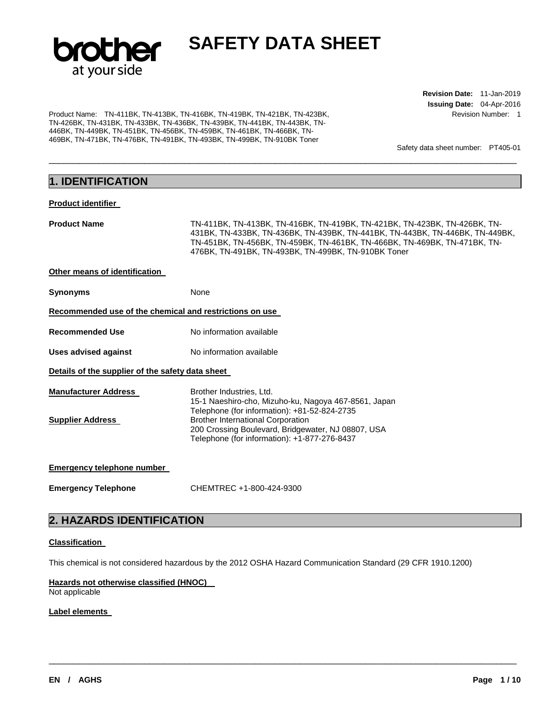

\_\_\_\_\_\_\_\_\_\_\_\_\_\_\_\_\_\_\_\_\_\_\_\_\_\_\_\_\_\_\_\_\_\_\_\_\_\_\_\_\_\_\_\_\_\_\_\_\_\_\_\_\_\_\_\_\_\_\_\_\_\_\_\_\_\_\_\_\_\_\_\_\_\_\_\_\_\_\_\_\_\_\_\_\_\_\_\_\_\_\_\_\_

Product Name: TN-411BK, TN-413BK, TN-416BK, TN-419BK, TN-421BK, TN-423BK, TN-426BK, TN-431BK, TN-433BK, TN-436BK, TN-439BK, TN-441BK, TN-443BK, TN-446BK, TN-449BK, TN-451BK, TN-456BK, TN-459BK, TN-461BK, TN-466BK, TN-469BK, TN-471BK, TN-476BK, TN-491BK, TN-493BK, TN-499BK, TN-910BK Toner

**Revision Date:** 11-Jan-2019 **Issuing Date:** 04-Apr-2016 Revision Number: 1

Safety data sheet number: PT405-01

## **1. IDENTIFICATION**

### **Product identifier**

| <b>Product Name</b>                                     | TN-411BK, TN-413BK, TN-416BK, TN-419BK, TN-421BK, TN-423BK, TN-426BK, TN-<br>431BK, TN-433BK, TN-436BK, TN-439BK, TN-441BK, TN-443BK, TN-446BK, TN-449BK,<br>TN-451BK, TN-456BK, TN-459BK, TN-461BK, TN-466BK, TN-469BK, TN-471BK, TN-<br>476BK, TN-491BK, TN-493BK, TN-499BK, TN-910BK Toner |
|---------------------------------------------------------|-----------------------------------------------------------------------------------------------------------------------------------------------------------------------------------------------------------------------------------------------------------------------------------------------|
| Other means of identification                           |                                                                                                                                                                                                                                                                                               |
| <b>Synonyms</b>                                         | None                                                                                                                                                                                                                                                                                          |
| Recommended use of the chemical and restrictions on use |                                                                                                                                                                                                                                                                                               |
| <b>Recommended Use</b>                                  | No information available                                                                                                                                                                                                                                                                      |
| Uses advised against                                    | No information available                                                                                                                                                                                                                                                                      |
| Details of the supplier of the safety data sheet        |                                                                                                                                                                                                                                                                                               |
| <b>Manufacturer Address</b>                             | Brother Industries, Ltd.<br>15-1 Naeshiro-cho, Mizuho-ku, Nagoya 467-8561, Japan<br>Telephone (for information): +81-52-824-2735                                                                                                                                                              |
| <b>Supplier Address</b>                                 | <b>Brother International Corporation</b><br>200 Crossing Boulevard, Bridgewater, NJ 08807, USA<br>Telephone (for information): +1-877-276-8437                                                                                                                                                |
| Emergency telephone number                              |                                                                                                                                                                                                                                                                                               |
| <b>Emergency Telephone</b>                              | CHEMTREC +1-800-424-9300                                                                                                                                                                                                                                                                      |

### **2. HAZARDS IDENTIFICATION**

### **Classification**

This chemical is not considered hazardous by the 2012 OSHA Hazard Communication Standard (29 CFR 1910.1200)

\_\_\_\_\_\_\_\_\_\_\_\_\_\_\_\_\_\_\_\_\_\_\_\_\_\_\_\_\_\_\_\_\_\_\_\_\_\_\_\_\_\_\_\_\_\_\_\_\_\_\_\_\_\_\_\_\_\_\_\_\_\_\_\_\_\_\_\_\_\_\_\_\_\_\_\_\_\_\_\_\_\_\_\_\_\_\_\_\_\_\_\_\_

### **Hazards not otherwise classified (HNOC)**

Not applicable

### **Label elements**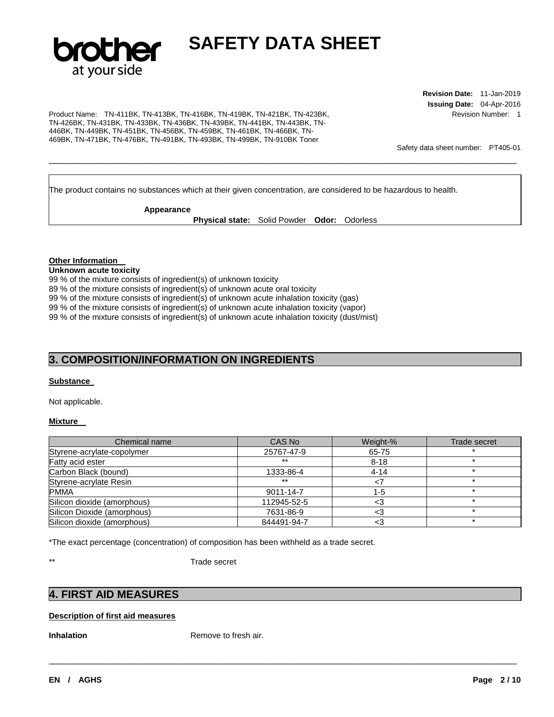

**Revision Date:** 11-Jan-2019 **Issuing Date:** 04-Apr-2016 Revision Number: 1

Product Name: TN-411BK, TN-413BK, TN-416BK, TN-419BK, TN-421BK, TN-423BK, TN-426BK, TN-431BK, TN-433BK, TN-436BK, TN-439BK, TN-441BK, TN-443BK, TN-446BK, TN-449BK, TN-451BK, TN-456BK, TN-459BK, TN-461BK, TN-466BK, TN-469BK, TN-471BK, TN-476BK, TN-491BK, TN-493BK, TN-499BK, TN-910BK Toner

Safety data sheet number: PT405-01

The product contains no substances which at their given concentration, are considered to be hazardous to health.

**Appearance** 

**Physical state:** Solid Powder **Odor:** Odorless

\_\_\_\_\_\_\_\_\_\_\_\_\_\_\_\_\_\_\_\_\_\_\_\_\_\_\_\_\_\_\_\_\_\_\_\_\_\_\_\_\_\_\_\_\_\_\_\_\_\_\_\_\_\_\_\_\_\_\_\_\_\_\_\_\_\_\_\_\_\_\_\_\_\_\_\_\_\_\_\_\_\_\_\_\_\_\_\_\_\_\_\_\_

#### **Other Information**

#### **Unknown acute toxicity**

99 % of the mixture consists of ingredient(s) of unknown toxicity 89 % of the mixture consists of ingredient(s) of unknown acute oral toxicity 99 % of the mixture consists of ingredient(s) of unknown acute inhalation toxicity (gas) 99 % of the mixture consists of ingredient(s) of unknown acute inhalation toxicity (vapor) 99 % of the mixture consists of ingredient(s) of unknown acute inhalation toxicity (dust/mist)

### **3. COMPOSITION/INFORMATION ON INGREDIENTS**

### **Substance**

Not applicable.

### **Mixture**

| Chemical name               | CAS No      | Weight-% | Trade secret |
|-----------------------------|-------------|----------|--------------|
| Styrene-acrylate-copolymer  | 25767-47-9  | 65-75    |              |
| Fatty acid ester            | $***$       | $8 - 18$ |              |
| Carbon Black (bound)        | 1333-86-4   | $4 - 14$ |              |
| Styrene-acrylate Resin      | $***$       | 7>       |              |
| <b>PMMA</b>                 | 9011-14-7   | $1 - 5$  |              |
| Silicon dioxide (amorphous) | 112945-52-5 | <3       |              |
| Silicon Dioxide (amorphous) | 7631-86-9   | <3       |              |
| Silicon dioxide (amorphous) | 844491-94-7 | <3       |              |

\_\_\_\_\_\_\_\_\_\_\_\_\_\_\_\_\_\_\_\_\_\_\_\_\_\_\_\_\_\_\_\_\_\_\_\_\_\_\_\_\_\_\_\_\_\_\_\_\_\_\_\_\_\_\_\_\_\_\_\_\_\_\_\_\_\_\_\_\_\_\_\_\_\_\_\_\_\_\_\_\_\_\_\_\_\_\_\_\_\_\_\_\_

\*The exact percentage (concentration) of composition has been withheld as a trade secret.

\*\* Trade secret

### **4. FIRST AID MEASURES**

### **Description of first aid measures**

**Inhalation Remove to fresh air.**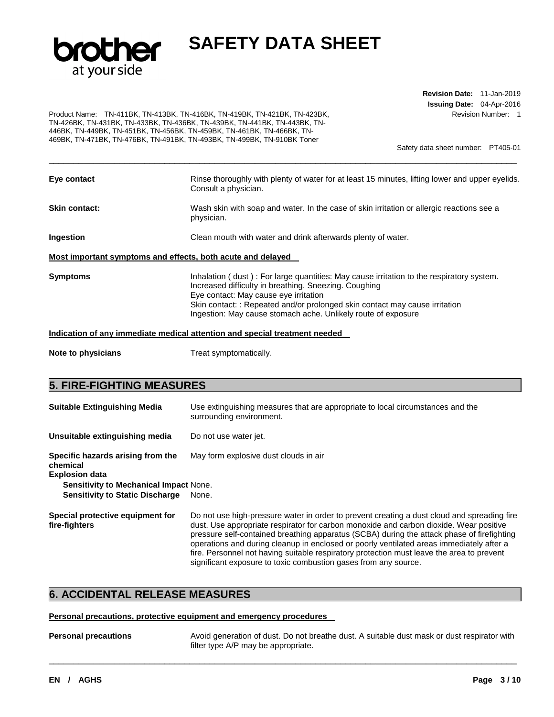

**Revision Date:** 11-Jan-2019 **Issuing Date:** 04-Apr-2016 Revision Number: 1

Product Name: TN-411BK, TN-413BK, TN-416BK, TN-419BK, TN-421BK, TN-423BK, TN-426BK, TN-431BK, TN-433BK, TN-436BK, TN-439BK, TN-441BK, TN-443BK, TN-446BK, TN-449BK, TN-451BK, TN-456BK, TN-459BK, TN-461BK, TN-466BK, TN-469BK, TN-471BK, TN-476BK, TN-491BK, TN-493BK, TN-499BK, TN-910BK Toner

Safety data sheet number: PT405-01

| Eye contact                                                 | Rinse thoroughly with plenty of water for at least 15 minutes, lifting lower and upper eyelids.<br>Consult a physician.                                                                                                                                                                                                                    |
|-------------------------------------------------------------|--------------------------------------------------------------------------------------------------------------------------------------------------------------------------------------------------------------------------------------------------------------------------------------------------------------------------------------------|
| Skin contact:                                               | Wash skin with soap and water. In the case of skin irritation or allergic reactions see a<br>physician.                                                                                                                                                                                                                                    |
| Ingestion                                                   | Clean mouth with water and drink afterwards plenty of water.                                                                                                                                                                                                                                                                               |
| Most important symptoms and effects, both acute and delayed |                                                                                                                                                                                                                                                                                                                                            |
| Symptoms                                                    | Inhalation (dust): For large quantities: May cause irritation to the respiratory system.<br>Increased difficulty in breathing. Sneezing. Coughing<br>Eye contact: May cause eye irritation<br>Skin contact: : Repeated and/or prolonged skin contact may cause irritation<br>Ingestion: May cause stomach ache. Unlikely route of exposure |
|                                                             | Indication of any immediate medical attention and special treatment needed                                                                                                                                                                                                                                                                 |

\_\_\_\_\_\_\_\_\_\_\_\_\_\_\_\_\_\_\_\_\_\_\_\_\_\_\_\_\_\_\_\_\_\_\_\_\_\_\_\_\_\_\_\_\_\_\_\_\_\_\_\_\_\_\_\_\_\_\_\_\_\_\_\_\_\_\_\_\_\_\_\_\_\_\_\_\_\_\_\_\_\_\_\_\_\_\_\_\_\_\_\_\_

**Note to physicians Treat symptomatically.** 

### **5. FIRE-FIGHTING MEASURES**

| <b>Suitable Extinguishing Media</b>                                    | Use extinguishing measures that are appropriate to local circumstances and the<br>surrounding environment.                                                                                                                                                                                                                                                                                                                                                                                                                                      |
|------------------------------------------------------------------------|-------------------------------------------------------------------------------------------------------------------------------------------------------------------------------------------------------------------------------------------------------------------------------------------------------------------------------------------------------------------------------------------------------------------------------------------------------------------------------------------------------------------------------------------------|
| Unsuitable extinguishing media                                         | Do not use water jet.                                                                                                                                                                                                                                                                                                                                                                                                                                                                                                                           |
| Specific hazards arising from the<br>chemical<br><b>Explosion data</b> | May form explosive dust clouds in air                                                                                                                                                                                                                                                                                                                                                                                                                                                                                                           |
| <b>Sensitivity to Mechanical Impact None.</b>                          |                                                                                                                                                                                                                                                                                                                                                                                                                                                                                                                                                 |
| <b>Sensitivity to Static Discharge</b>                                 | None.                                                                                                                                                                                                                                                                                                                                                                                                                                                                                                                                           |
| Special protective equipment for<br>fire-fighters                      | Do not use high-pressure water in order to prevent creating a dust cloud and spreading fire<br>dust. Use appropriate respirator for carbon monoxide and carbon dioxide. Wear positive<br>pressure self-contained breathing apparatus (SCBA) during the attack phase of firefighting<br>operations and during cleanup in enclosed or poorly ventilated areas immediately after a<br>fire. Personnel not having suitable respiratory protection must leave the area to prevent<br>significant exposure to toxic combustion gases from any source. |

### **6. ACCIDENTAL RELEASE MEASURES**

### **Personal precautions, protective equipment and emergency procedures**

**Personal precautions** Avoid generation of dust. Do not breathe dust. A suitable dust mask or dust respirator with filter type A/P may be appropriate.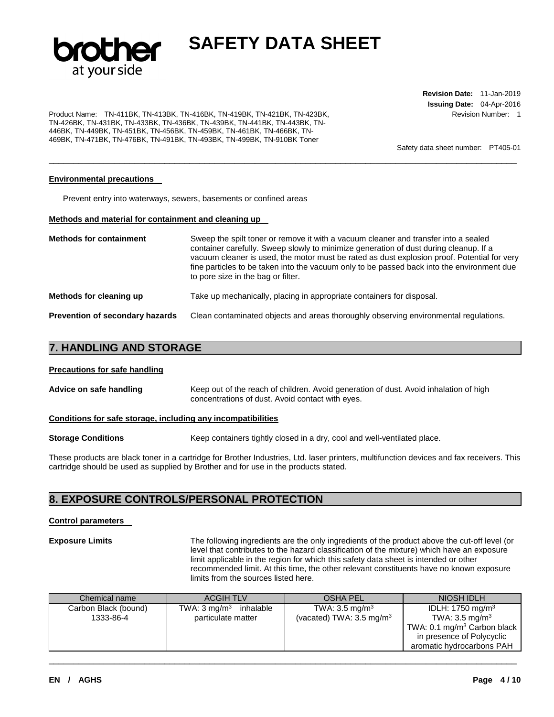

\_\_\_\_\_\_\_\_\_\_\_\_\_\_\_\_\_\_\_\_\_\_\_\_\_\_\_\_\_\_\_\_\_\_\_\_\_\_\_\_\_\_\_\_\_\_\_\_\_\_\_\_\_\_\_\_\_\_\_\_\_\_\_\_\_\_\_\_\_\_\_\_\_\_\_\_\_\_\_\_\_\_\_\_\_\_\_\_\_\_\_\_\_

Product Name: TN-411BK, TN-413BK, TN-416BK, TN-419BK, TN-421BK, TN-423BK, TN-426BK, TN-431BK, TN-433BK, TN-436BK, TN-439BK, TN-441BK, TN-443BK, TN-446BK, TN-449BK, TN-451BK, TN-456BK, TN-459BK, TN-461BK, TN-466BK, TN-469BK, TN-471BK, TN-476BK, TN-491BK, TN-493BK, TN-499BK, TN-910BK Toner

**Revision Date:** 11-Jan-2019 **Issuing Date:** 04-Apr-2016 Revision Number: 1

Safety data sheet number: PT405-01

### **Environmental precautions**

Prevent entry into waterways, sewers, basements or confined areas

### **Methods and material for containment and cleaning up**

| <b>Methods for containment</b>         | Sweep the spilt toner or remove it with a vacuum cleaner and transfer into a sealed<br>container carefully. Sweep slowly to minimize generation of dust during cleanup. If a<br>vacuum cleaner is used, the motor must be rated as dust explosion proof. Potential for very<br>fine particles to be taken into the vacuum only to be passed back into the environment due<br>to pore size in the bag or filter. |
|----------------------------------------|-----------------------------------------------------------------------------------------------------------------------------------------------------------------------------------------------------------------------------------------------------------------------------------------------------------------------------------------------------------------------------------------------------------------|
| Methods for cleaning up                | Take up mechanically, placing in appropriate containers for disposal.                                                                                                                                                                                                                                                                                                                                           |
| <b>Prevention of secondary hazards</b> | Clean contaminated objects and areas thoroughly observing environmental regulations.                                                                                                                                                                                                                                                                                                                            |

### **7. HANDLING AND STORAGE**

#### **Precautions for safe handling**

| Advice on safe handling | Keep out of the reach of children. Avoid generation of dust. Avoid inhalation of high |  |
|-------------------------|---------------------------------------------------------------------------------------|--|
|                         | concentrations of dust. Avoid contact with eyes.                                      |  |

#### **Conditions for safe storage, including any incompatibilities**

**Storage Conditions Keep containers tightly closed in a dry, cool and well-ventilated place.** 

These products are black toner in a cartridge for Brother Industries, Ltd. laser printers, multifunction devices and fax receivers. This cartridge should be used as supplied by Brother and for use in the products stated.

### **8. EXPOSURE CONTROLS/PERSONAL PROTECTION**

### **Control parameters**

**Exposure Limits** The following ingredients are the only ingredients of the product above the cut-off level (or level that contributes to the hazard classification of the mixture) which have an exposure limit applicable in the region for which this safety data sheet is intended or other recommended limit. At this time, the other relevant constituents have no known exposure limits from the sources listed here.

| Chemical name                     | <b>ACGIH TLV</b>                                        | <b>OSHA PEL</b>                                                  | NIOSH IDLH                                                                                                                        |
|-----------------------------------|---------------------------------------------------------|------------------------------------------------------------------|-----------------------------------------------------------------------------------------------------------------------------------|
| Carbon Black (bound)<br>1333-86-4 | TWA: $3 \text{ mg/m}^3$ inhalable<br>particulate matter | TWA: $3.5 \text{ mg/m}^3$<br>(vacated) TWA: $3.5 \text{ mg/m}^3$ | IDLH: 1750 mg/m <sup>3</sup><br>TWA: $3.5 \text{ mg/m}^3$<br>TWA: 0.1 mg/m <sup>3</sup> Carbon black<br>in presence of Polycyclic |
|                                   |                                                         |                                                                  | aromatic hydrocarbons PAH                                                                                                         |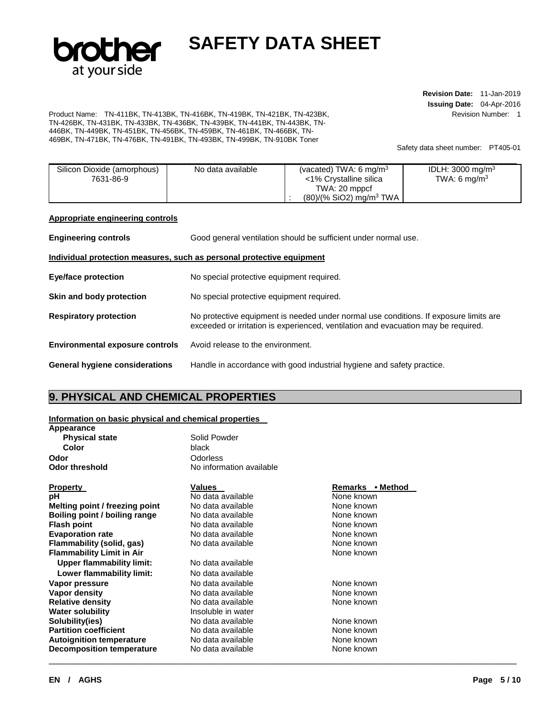

**Revision Date:** 11-Jan-2019 **Issuing Date:** 04-Apr-2016 Revision Number: 1

Product Name: TN-411BK, TN-413BK, TN-416BK, TN-419BK, TN-421BK, TN-423BK, TN-426BK, TN-431BK, TN-433BK, TN-436BK, TN-439BK, TN-441BK, TN-443BK, TN-446BK, TN-449BK, TN-451BK, TN-456BK, TN-459BK, TN-461BK, TN-466BK, TN-469BK, TN-471BK, TN-476BK, TN-491BK, TN-493BK, TN-499BK, TN-910BK Toner

Safety data sheet number: PT405-01

| Silicon Dioxide (amorphous) | No data available | (vacated) TWA: 6 mg/m <sup>3</sup>    | IDLH: 3000 mg/m <sup>3</sup> |
|-----------------------------|-------------------|---------------------------------------|------------------------------|
| 7631-86-9                   |                   | <1% Crystalline silica                | TWA: 6 mg/m <sup>3</sup>     |
|                             |                   | TWA: 20 mppcf                         |                              |
|                             |                   | $(80)/(%$ SiO2) mg/m <sup>3</sup> TWA |                              |

### **Appropriate engineering controls**

| <b>Engineering controls</b>                                           | Good general ventilation should be sufficient under normal use.                                                                                                             |  |
|-----------------------------------------------------------------------|-----------------------------------------------------------------------------------------------------------------------------------------------------------------------------|--|
| Individual protection measures, such as personal protective equipment |                                                                                                                                                                             |  |
| Eye/face protection                                                   | No special protective equipment required.                                                                                                                                   |  |
| Skin and body protection                                              | No special protective equipment required.                                                                                                                                   |  |
| <b>Respiratory protection</b>                                         | No protective equipment is needed under normal use conditions. If exposure limits are<br>exceeded or irritation is experienced, ventilation and evacuation may be required. |  |
| <b>Environmental exposure controls</b>                                | Avoid release to the environment.                                                                                                                                           |  |
| <b>General hygiene considerations</b>                                 | Handle in accordance with good industrial hygiene and safety practice.                                                                                                      |  |

### **9. PHYSICAL AND CHEMICAL PROPERTIES**

### **Information on basic physical and chemical properties**

| Appearance                       |                          |                  |  |
|----------------------------------|--------------------------|------------------|--|
| <b>Physical state</b>            | Solid Powder             |                  |  |
| Color                            | black                    |                  |  |
| Odor                             | Odorless                 |                  |  |
| Odor threshold                   | No information available |                  |  |
| <b>Property</b>                  | Values                   | Remarks • Method |  |
| рH                               | No data available        | None known       |  |
| Melting point / freezing point   | No data available        | None known       |  |
| Boiling point / boiling range    | No data available        | None known       |  |
| Flash point                      | No data available        | None known       |  |
| <b>Evaporation rate</b>          | No data available        | None known       |  |
| Flammability (solid, gas)        | No data available        | None known       |  |
| <b>Flammability Limit in Air</b> |                          | None known       |  |
| <b>Upper flammability limit:</b> | No data available        |                  |  |
| Lower flammability limit:        | No data available        |                  |  |
| Vapor pressure                   | No data available        | None known       |  |
| Vapor density                    | No data available        | None known       |  |
| <b>Relative density</b>          | No data available        | None known       |  |
| Water solubility                 | Insoluble in water       |                  |  |
| Solubility(ies)                  | No data available        | None known       |  |
| <b>Partition coefficient</b>     | No data available        | None known       |  |
| <b>Autoignition temperature</b>  | No data available        | None known       |  |
| <b>Decomposition temperature</b> | No data available        | None known       |  |
|                                  |                          |                  |  |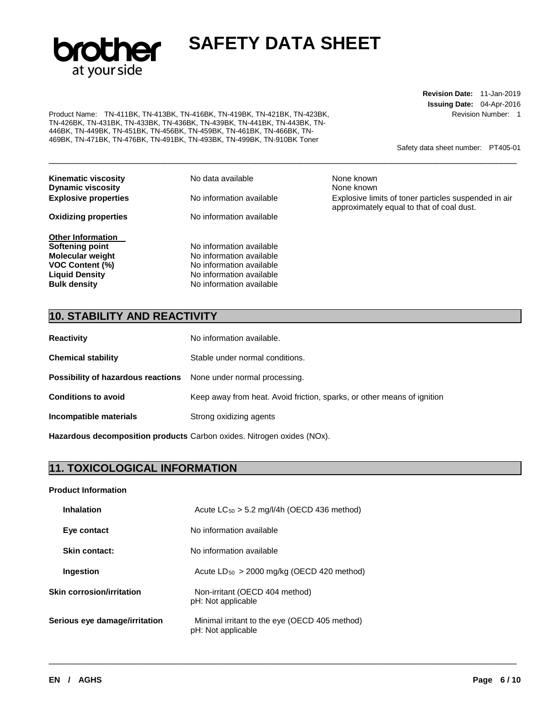

Product Name: TN-411BK, TN-413BK, TN-416BK, TN-419BK, TN-421BK, TN-423BK, TN-426BK, TN-431BK, TN-433BK, TN-436BK, TN-439BK, TN-441BK, TN-443BK, TN-446BK, TN-449BK, TN-451BK, TN-456BK, TN-459BK, TN-461BK, TN-466BK, TN-469BK, TN-471BK, TN-476BK, TN-491BK, TN-493BK, TN-499BK, TN-910BK Toner

**Revision Date:** 11-Jan-2019 **Issuing Date:** 04-Apr-2016 Revision Number: 1

Safety data sheet number: PT405-01

| <b>Kinematic viscosity</b><br><b>Dynamic viscosity</b> | No data available        | None known<br>None known                                                                          |
|--------------------------------------------------------|--------------------------|---------------------------------------------------------------------------------------------------|
| <b>Explosive properties</b>                            | No information available | Explosive limits of toner particles suspended in air<br>approximately equal to that of coal dust. |
| <b>Oxidizing properties</b>                            | No information available |                                                                                                   |
| <b>Other Information</b>                               |                          |                                                                                                   |
| Softening point                                        | No information available |                                                                                                   |
| <b>Molecular weight</b>                                | No information available |                                                                                                   |
| <b>VOC Content (%)</b>                                 | No information available |                                                                                                   |
| <b>Liquid Density</b>                                  | No information available |                                                                                                   |
| <b>Bulk density</b>                                    | No information available |                                                                                                   |

\_\_\_\_\_\_\_\_\_\_\_\_\_\_\_\_\_\_\_\_\_\_\_\_\_\_\_\_\_\_\_\_\_\_\_\_\_\_\_\_\_\_\_\_\_\_\_\_\_\_\_\_\_\_\_\_\_\_\_\_\_\_\_\_\_\_\_\_\_\_\_\_\_\_\_\_\_\_\_\_\_\_\_\_\_\_\_\_\_\_\_\_\_

\_\_\_\_\_\_\_\_\_\_\_\_\_\_\_\_\_\_\_\_\_\_\_\_\_\_\_\_\_\_\_\_\_\_\_\_\_\_\_\_\_\_\_\_\_\_\_\_\_\_\_\_\_\_\_\_\_\_\_\_\_\_\_\_\_\_\_\_\_\_\_\_\_\_\_\_\_\_\_\_\_\_\_\_\_\_\_\_\_\_\_\_\_

## **10. STABILITY AND REACTIVITY**

| <b>Reactivity</b>                                                       | No information available.                                               |
|-------------------------------------------------------------------------|-------------------------------------------------------------------------|
| <b>Chemical stability</b>                                               | Stable under normal conditions.                                         |
| <b>Possibility of hazardous reactions</b> None under normal processing. |                                                                         |
| <b>Conditions to avoid</b>                                              | Keep away from heat. Avoid friction, sparks, or other means of ignition |
| Incompatible materials                                                  | Strong oxidizing agents                                                 |
|                                                                         |                                                                         |

**Hazardous decomposition products** Carbon oxides. Nitrogen oxides (NOx).

### **11. TOXICOLOGICAL INFORMATION**

### **Product Information**

| <b>Inhalation</b>                | Acute $LC_{50}$ > 5.2 mg/l/4h (OECD 436 method)                     |  |  |  |  |
|----------------------------------|---------------------------------------------------------------------|--|--|--|--|
| Eye contact                      | No information available                                            |  |  |  |  |
| Skin contact:                    | No information available                                            |  |  |  |  |
| Ingestion                        | Acute $LD_{50} > 2000$ mg/kg (OECD 420 method)                      |  |  |  |  |
| <b>Skin corrosion/irritation</b> | Non-irritant (OECD 404 method)<br>pH: Not applicable                |  |  |  |  |
| Serious eye damage/irritation    | Minimal irritant to the eye (OECD 405 method)<br>pH: Not applicable |  |  |  |  |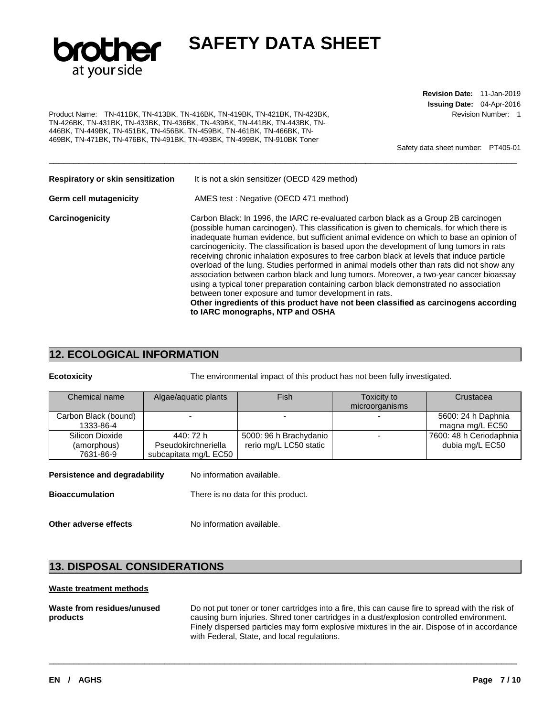

Product Name: TN-411BK, TN-413BK, TN-416BK, TN-419BK, TN-421BK, TN-423BK, TN-426BK, TN-431BK, TN-433BK, TN-436BK, TN-439BK, TN-441BK, TN-443BK, TN-446BK, TN-449BK, TN-451BK, TN-456BK, TN-459BK, TN-461BK, TN-466BK, TN-469BK, TN-471BK, TN-476BK, TN-491BK, TN-493BK, TN-499BK, TN-910BK Toner

**Revision Date:** 11-Jan-2019 **Issuing Date:** 04-Apr-2016 Revision Number: 1

Safety data sheet number: PT405-01

| Respiratory or skin sensitization | It is not a skin sensitizer (OECD 429 method)                                                                                                                                                                                                                                                                                                                                                                                                                                                                                                                                                                                                                                                                                                                                                                                                                                                                                              |
|-----------------------------------|--------------------------------------------------------------------------------------------------------------------------------------------------------------------------------------------------------------------------------------------------------------------------------------------------------------------------------------------------------------------------------------------------------------------------------------------------------------------------------------------------------------------------------------------------------------------------------------------------------------------------------------------------------------------------------------------------------------------------------------------------------------------------------------------------------------------------------------------------------------------------------------------------------------------------------------------|
| Germ cell mutagenicity            | AMES test: Negative (OECD 471 method)                                                                                                                                                                                                                                                                                                                                                                                                                                                                                                                                                                                                                                                                                                                                                                                                                                                                                                      |
| Carcinogenicity                   | Carbon Black: In 1996, the IARC re-evaluated carbon black as a Group 2B carcinogen<br>(possible human carcinogen). This classification is given to chemicals, for which there is<br>inadequate human evidence, but sufficient animal evidence on which to base an opinion of<br>carcinogenicity. The classification is based upon the development of lung tumors in rats<br>receiving chronic inhalation exposures to free carbon black at levels that induce particle<br>overload of the lung. Studies performed in animal models other than rats did not show any<br>association between carbon black and lung tumors. Moreover, a two-year cancer bioassay<br>using a typical toner preparation containing carbon black demonstrated no association<br>between toner exposure and tumor development in rats.<br>Other ingredients of this product have not been classified as carcinogens according<br>to IARC monographs, NTP and OSHA |

\_\_\_\_\_\_\_\_\_\_\_\_\_\_\_\_\_\_\_\_\_\_\_\_\_\_\_\_\_\_\_\_\_\_\_\_\_\_\_\_\_\_\_\_\_\_\_\_\_\_\_\_\_\_\_\_\_\_\_\_\_\_\_\_\_\_\_\_\_\_\_\_\_\_\_\_\_\_\_\_\_\_\_\_\_\_\_\_\_\_\_\_\_

### **12. ECOLOGICAL INFORMATION**

**Ecotoxicity** The environmental impact of this product has not been fully investigated.

| Chemical name                               | Algae/aquatic plants                                      | Fish                                             | Toxicity to<br>microorganisms | Crustacea                                  |
|---------------------------------------------|-----------------------------------------------------------|--------------------------------------------------|-------------------------------|--------------------------------------------|
| Carbon Black (bound)<br>1333-86-4           |                                                           |                                                  |                               | 5600: 24 h Daphnia<br>magna mg/L EC50      |
| Silicon Dioxide<br>(amorphous)<br>7631-86-9 | 440: 72 h<br>Pseudokirchneriella<br>subcapitata mg/L EC50 | 5000: 96 h Brachydanio<br>rerio mg/L LC50 static |                               | 7600: 48 h Ceriodaphnia<br>dubia mg/L EC50 |

| Persistence and degradability | No information available.          |
|-------------------------------|------------------------------------|
| <b>Bioaccumulation</b>        | There is no data for this product. |

**Other adverse effects** No information available.

### **13. DISPOSAL CONSIDERATIONS**

### **Waste treatment methods**

| Waste from residues/unused | Do not put toner or toner cartridges into a fire, this can cause fire to spread with the risk of |
|----------------------------|--------------------------------------------------------------------------------------------------|
| products                   | causing burn injuries. Shred toner cartridges in a dust/explosion controlled environment.        |
|                            | Finely dispersed particles may form explosive mixtures in the air. Dispose of in accordance      |
|                            | with Federal, State, and local regulations.                                                      |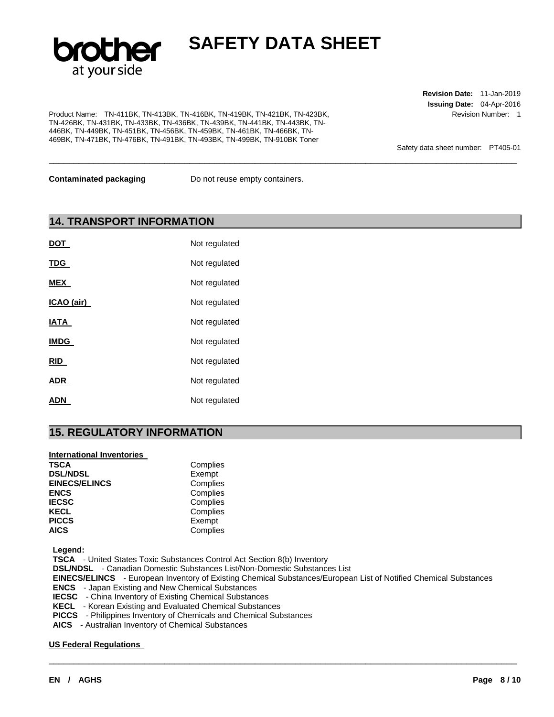

\_\_\_\_\_\_\_\_\_\_\_\_\_\_\_\_\_\_\_\_\_\_\_\_\_\_\_\_\_\_\_\_\_\_\_\_\_\_\_\_\_\_\_\_\_\_\_\_\_\_\_\_\_\_\_\_\_\_\_\_\_\_\_\_\_\_\_\_\_\_\_\_\_\_\_\_\_\_\_\_\_\_\_\_\_\_\_\_\_\_\_\_\_

Product Name: TN-411BK, TN-413BK, TN-416BK, TN-419BK, TN-421BK, TN-423BK, TN-426BK, TN-431BK, TN-433BK, TN-436BK, TN-439BK, TN-441BK, TN-443BK, TN-446BK, TN-449BK, TN-451BK, TN-456BK, TN-459BK, TN-461BK, TN-466BK, TN-469BK, TN-471BK, TN-476BK, TN-491BK, TN-493BK, TN-499BK, TN-910BK Toner

**Revision Date:** 11-Jan-2019 **Issuing Date:** 04-Apr-2016 Revision Number: 1

Safety data sheet number: PT405-01

**Contaminated packaging <br>Do not reuse empty containers.** 

### **14. TRANSPORT INFORMATION**

| <b>DOT</b>  | Not regulated |
|-------------|---------------|
| <b>TDG</b>  | Not regulated |
| <b>MEX</b>  | Not regulated |
| ICAO (air)  | Not regulated |
| IATA        | Not regulated |
| <b>IMDG</b> | Not regulated |
| <b>RID</b>  | Not regulated |
| <b>ADR</b>  | Not regulated |
| ADN         | Not regulated |

### **15. REGULATORY INFORMATION**

### **International Inventories**

| TSCA                 | Complies |
|----------------------|----------|
| <b>DSL/NDSL</b>      | Exempt   |
| <b>EINECS/ELINCS</b> | Complies |
| ENCS                 | Complies |
| IECSC                | Complies |
| KECL                 | Complies |
| <b>PICCS</b>         | Exempt   |
| AICS                 | Complies |
|                      |          |

**Legend:** 

**TSCA** - United States Toxic Substances Control Act Section 8(b) Inventory

**DSL/NDSL** - Canadian Domestic Substances List/Non-Domestic Substances List

**EINECS/ELINCS** - European Inventory of Existing Chemical Substances/European List of Notified Chemical Substances

\_\_\_\_\_\_\_\_\_\_\_\_\_\_\_\_\_\_\_\_\_\_\_\_\_\_\_\_\_\_\_\_\_\_\_\_\_\_\_\_\_\_\_\_\_\_\_\_\_\_\_\_\_\_\_\_\_\_\_\_\_\_\_\_\_\_\_\_\_\_\_\_\_\_\_\_\_\_\_\_\_\_\_\_\_\_\_\_\_\_\_\_\_

**ENCS** - Japan Existing and New Chemical Substances

**IECSC** - China Inventory of Existing Chemical Substances

- **KECL**  Korean Existing and Evaluated Chemical Substances
- **PICCS**  Philippines Inventory of Chemicals and Chemical Substances

**AICS** - Australian Inventory of Chemical Substances

### **US Federal Regulations**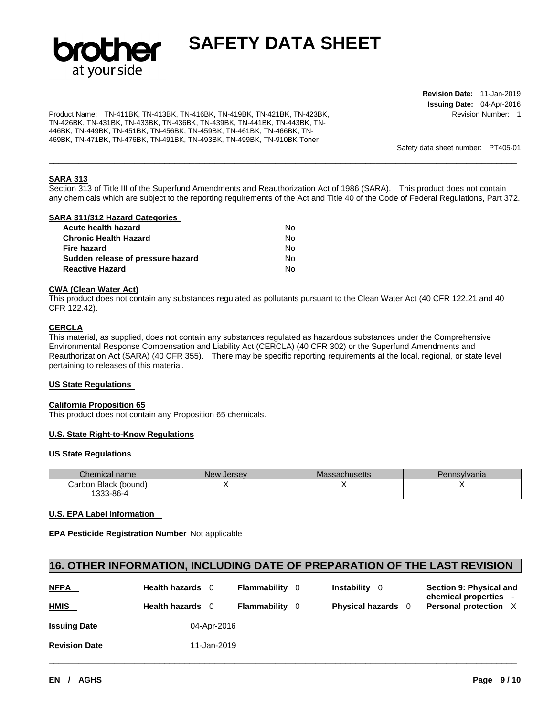

Product Name: TN-411BK, TN-413BK, TN-416BK, TN-419BK, TN-421BK, TN-423BK, TN-426BK, TN-431BK, TN-433BK, TN-436BK, TN-439BK, TN-441BK, TN-443BK, TN-446BK, TN-449BK, TN-451BK, TN-456BK, TN-459BK, TN-461BK, TN-466BK, TN-469BK, TN-471BK, TN-476BK, TN-491BK, TN-493BK, TN-499BK, TN-910BK Toner

**Revision Date:** 11-Jan-2019 **Issuing Date:** 04-Apr-2016 Revision Number: 1

Safety data sheet number: PT405-01

### **SARA 313**

Section 313 of Title III of the Superfund Amendments and Reauthorization Act of 1986 (SARA). This product does not contain any chemicals which are subject to the reporting requirements of the Act and Title 40 of the Code of Federal Regulations, Part 372.

\_\_\_\_\_\_\_\_\_\_\_\_\_\_\_\_\_\_\_\_\_\_\_\_\_\_\_\_\_\_\_\_\_\_\_\_\_\_\_\_\_\_\_\_\_\_\_\_\_\_\_\_\_\_\_\_\_\_\_\_\_\_\_\_\_\_\_\_\_\_\_\_\_\_\_\_\_\_\_\_\_\_\_\_\_\_\_\_\_\_\_\_\_

#### **SARA 311/312 Hazard Categories**

| No. |
|-----|
| No. |
| No. |
| No. |
| N٥  |
|     |

#### **CWA (Clean Water Act)**

This product does not contain any substances regulated as pollutants pursuant to the Clean Water Act (40 CFR 122.21 and 40 CFR 122.42).

### **CERCLA**

This material, as supplied, does not contain any substances regulated as hazardous substances under the Comprehensive Environmental Response Compensation and Liability Act (CERCLA) (40 CFR 302) or the Superfund Amendments and Reauthorization Act (SARA) (40 CFR 355). There may be specific reporting requirements at the local, regional, or state level pertaining to releases of this material.

### **US State Regulations**

#### **California Proposition 65**

This product does not contain any Proposition 65 chemicals.

#### **U.S. State Right-to-Know Regulations**

#### **US State Regulations**

| Chemical name        | New Jersev | Massachusetts | Pennsvlvania |
|----------------------|------------|---------------|--------------|
| Carbon Black (bound) |            |               |              |
| 1333-86-4            |            |               |              |

#### **U.S. EPA Label Information**

**EPA Pesticide Registration Number** Not applicable

### **16. OTHER INFORMATION, INCLUDING DATE OF PREPARATION OF THE LAST REVISION**

| <b>NFPA</b>          | Health hazards 0 |  | Flammability | - 0 | <b>Instability</b> 0      | Section 9: Physical and<br>chemical properties - |  |
|----------------------|------------------|--|--------------|-----|---------------------------|--------------------------------------------------|--|
| <b>HMIS</b>          | Health hazards 0 |  | Flammability | - 0 | <b>Physical hazards</b> 0 | <b>Personal protection X</b>                     |  |
| <b>Issuing Date</b>  | 04-Apr-2016      |  |              |     |                           |                                                  |  |
| <b>Revision Date</b> | 11-Jan-2019      |  |              |     |                           |                                                  |  |